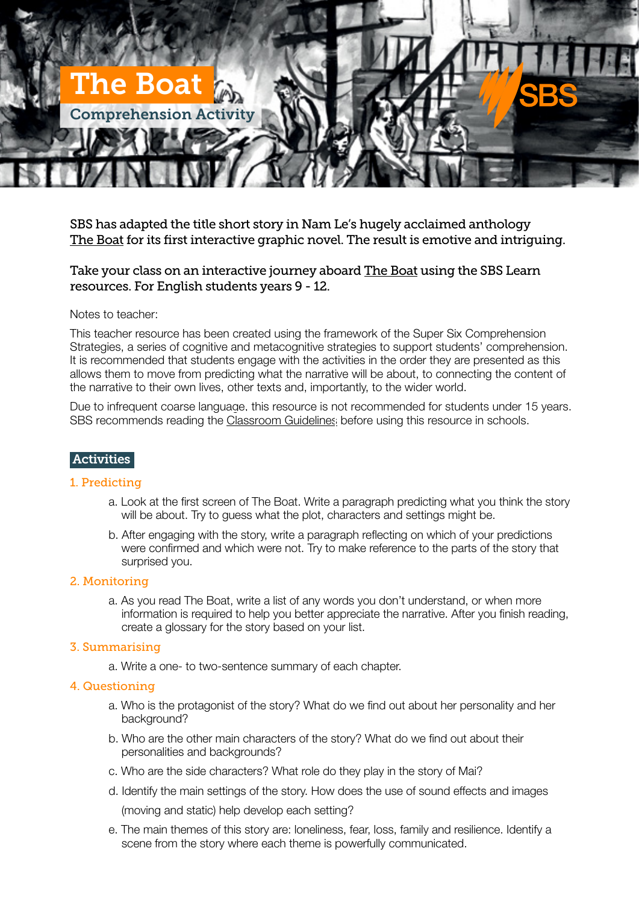

SBS has adapted the title short story in Nam Le's hugely acclaimed anthology [The Boat](http://www.sbs.com.au/theboat/) for its first interactive graphic novel. The result is emotive and intriguing.

# Take your class on an interactive journey aboard [The Boat](http://www.sbs.com.au/theboat/) using the SBS Learn resources. For English students years 9 - 12.

#### Notes to teacher:

This teacher resource has been created using the framework of the Super Six Comprehension Strategies, a series of cognitive and metacognitive strategies to support students' comprehension. It is recommended that students engage with the activities in the order they are presented as this allows them to move from predicting what the narrative will be about, to connecting the content of the narrative to their own lives, other texts and, importantly, to the wider world.

Due to infrequent coarse language, this resource is not recommended for students under 15 years. SBS recommends reading the [Classroom Guidelines](http://www.sbs.com.au/programs/sites/sbs.com.au.programs/files/the_boat_viewing_recommendation.pdf) before using this resource in schools.

## **Activities**

#### 1. Predicting

- a. Look at the first screen of The Boat. Write a paragraph predicting what you think the story will be about. Try to guess what the plot, characters and settings might be.
- b. After engaging with the story, write a paragraph reflecting on which of your predictions were confirmed and which were not. Try to make reference to the parts of the story that surprised you.

#### 2. Monitoring

a. As you read The Boat, write a list of any words you don't understand, or when more information is required to help you better appreciate the narrative. After you finish reading, create a glossary for the story based on your list.

#### 3. Summarising

a. Write a one- to two-sentence summary of each chapter.

## 4. Questioning

- a. Who is the protagonist of the story? What do we find out about her personality and her background?
- b. Who are the other main characters of the story? What do we find out about their personalities and backgrounds?
- c. Who are the side characters? What role do they play in the story of Mai?
- d. Identify the main settings of the story. How does the use of sound effects and images (moving and static) help develop each setting?
- e. The main themes of this story are: loneliness, fear, loss, family and resilience. Identify a scene from the story where each theme is powerfully communicated.